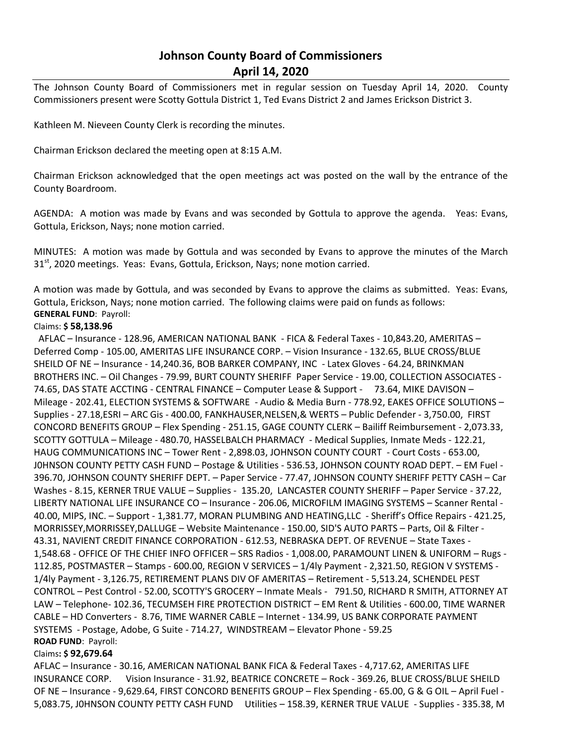# **Johnson County Board of Commissioners April 14, 2020**

The Johnson County Board of Commissioners met in regular session on Tuesday April 14, 2020. County Commissioners present were Scotty Gottula District 1, Ted Evans District 2 and James Erickson District 3.

Kathleen M. Nieveen County Clerk is recording the minutes.

Chairman Erickson declared the meeting open at 8:15 A.M.

Chairman Erickson acknowledged that the open meetings act was posted on the wall by the entrance of the County Boardroom.

AGENDA: A motion was made by Evans and was seconded by Gottula to approve the agenda. Yeas: Evans, Gottula, Erickson, Nays; none motion carried.

MINUTES: A motion was made by Gottula and was seconded by Evans to approve the minutes of the March 31<sup>st</sup>, 2020 meetings. Yeas: Evans, Gottula, Erickson, Nays; none motion carried.

A motion was made by Gottula, and was seconded by Evans to approve the claims as submitted. Yeas: Evans, Gottula, Erickson, Nays; none motion carried. The following claims were paid on funds as follows: **GENERAL FUND**: Payroll:

## Claims: **\$ 58,138.96**

 AFLAC – Insurance - 128.96, AMERICAN NATIONAL BANK - FICA & Federal Taxes - 10,843.20, AMERITAS – Deferred Comp - 105.00, AMERITAS LIFE INSURANCE CORP. – Vision Insurance - 132.65, BLUE CROSS/BLUE SHEILD OF NE – Insurance - 14,240.36, BOB BARKER COMPANY, INC - Latex Gloves - 64.24, BRINKMAN BROTHERS INC. – Oil Changes - 79.99, BURT COUNTY SHERIFF Paper Service - 19.00, COLLECTION ASSOCIATES - 74.65, DAS STATE ACCTING - CENTRAL FINANCE – Computer Lease & Support - 73.64, MIKE DAVISON – Mileage - 202.41, ELECTION SYSTEMS & SOFTWARE - Audio & Media Burn - 778.92, EAKES OFFICE SOLUTIONS – Supplies - 27.18,ESRI – ARC Gis - 400.00, FANKHAUSER,NELSEN,& WERTS – Public Defender - 3,750.00, FIRST CONCORD BENEFITS GROUP – Flex Spending - 251.15, GAGE COUNTY CLERK – Bailiff Reimbursement - 2,073.33, SCOTTY GOTTULA – Mileage - 480.70, HASSELBALCH PHARMACY - Medical Supplies, Inmate Meds - 122.21, HAUG COMMUNICATIONS INC – Tower Rent - 2,898.03, JOHNSON COUNTY COURT - Court Costs - 653.00, J0HNSON COUNTY PETTY CASH FUND – Postage & Utilities - 536.53, JOHNSON COUNTY ROAD DEPT. – EM Fuel - 396.70, JOHNSON COUNTY SHERIFF DEPT. – Paper Service - 77.47, JOHNSON COUNTY SHERIFF PETTY CASH – Car Washes - 8.15, KERNER TRUE VALUE – Supplies - 135.20, LANCASTER COUNTY SHERIFF – Paper Service - 37.22, LIBERTY NATIONAL LIFE INSURANCE CO – Insurance - 206.06, MICROFILM IMAGING SYSTEMS – Scanner Rental - 40.00, MIPS, INC. – Support - 1,381.77, MORAN PLUMBING AND HEATING,LLC - Sheriff's Office Repairs - 421.25, MORRISSEY,MORRISSEY,DALLUGE – Website Maintenance - 150.00, SID'S AUTO PARTS – Parts, Oil & Filter - 43.31, NAVIENT CREDIT FINANCE CORPORATION - 612.53, NEBRASKA DEPT. OF REVENUE – State Taxes - 1,548.68 - OFFICE OF THE CHIEF INFO OFFICER – SRS Radios - 1,008.00, PARAMOUNT LINEN & UNIFORM – Rugs - 112.85, POSTMASTER – Stamps - 600.00, REGION V SERVICES – 1/4ly Payment - 2,321.50, REGION V SYSTEMS - 1/4ly Payment - 3,126.75, RETIREMENT PLANS DIV OF AMERITAS – Retirement - 5,513.24, SCHENDEL PEST CONTROL – Pest Control - 52.00, SCOTTY'S GROCERY – Inmate Meals - 791.50, RICHARD R SMITH, ATTORNEY AT LAW – Telephone- 102.36, TECUMSEH FIRE PROTECTION DISTRICT – EM Rent & Utilities - 600.00, TIME WARNER CABLE – HD Converters - 8.76, TIME WARNER CABLE – Internet - 134.99, US BANK CORPORATE PAYMENT SYSTEMS - Postage, Adobe, G Suite - 714.27, WINDSTREAM – Elevator Phone - 59.25 **ROAD FUND**: Payroll:

### Claims**: \$ 92,679.64**

AFLAC – Insurance - 30.16, AMERICAN NATIONAL BANK FICA & Federal Taxes - 4,717.62, AMERITAS LIFE INSURANCE CORP. Vision Insurance - 31.92, BEATRICE CONCRETE – Rock - 369.26, BLUE CROSS/BLUE SHEILD OF NE – Insurance - 9,629.64, FIRST CONCORD BENEFITS GROUP – Flex Spending - 65.00, G & G OIL – April Fuel - 5,083.75, J0HNSON COUNTY PETTY CASH FUND Utilities – 158.39, KERNER TRUE VALUE - Supplies - 335.38, M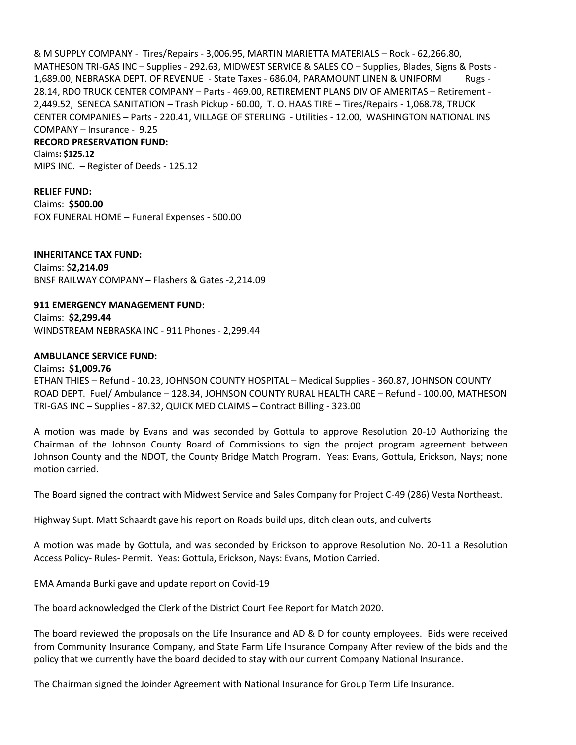& M SUPPLY COMPANY - Tires/Repairs - 3,006.95, MARTIN MARIETTA MATERIALS – Rock - 62,266.80, MATHESON TRI-GAS INC – Supplies - 292.63, MIDWEST SERVICE & SALES CO – Supplies, Blades, Signs & Posts - 1,689.00, NEBRASKA DEPT. OF REVENUE - State Taxes - 686.04, PARAMOUNT LINEN & UNIFORM Rugs - 28.14, RDO TRUCK CENTER COMPANY – Parts - 469.00, RETIREMENT PLANS DIV OF AMERITAS – Retirement - 2,449.52, SENECA SANITATION – Trash Pickup - 60.00, T. O. HAAS TIRE – Tires/Repairs - 1,068.78, TRUCK CENTER COMPANIES – Parts - 220.41, VILLAGE OF STERLING - Utilities - 12.00, WASHINGTON NATIONAL INS COMPANY – Insurance - 9.25

#### **RECORD PRESERVATION FUND:**

Claims**: \$125.12**

MIPS INC. – Register of Deeds - 125.12

**RELIEF FUND:** Claims: **\$500.00** FOX FUNERAL HOME – Funeral Expenses - 500.00

**INHERITANCE TAX FUND:** Claims: \$**2,214.09** BNSF RAILWAY COMPANY – Flashers & Gates -2,214.09

**911 EMERGENCY MANAGEMENT FUND:** Claims: **\$2,299.44** WINDSTREAM NEBRASKA INC - 911 Phones - 2,299.44

#### **AMBULANCE SERVICE FUND:**

Claims**: \$1,009.76** ETHAN THIES – Refund - 10.23, JOHNSON COUNTY HOSPITAL – Medical Supplies - 360.87, JOHNSON COUNTY ROAD DEPT. Fuel/ Ambulance – 128.34, JOHNSON COUNTY RURAL HEALTH CARE – Refund - 100.00, MATHESON TRI-GAS INC – Supplies - 87.32, QUICK MED CLAIMS – Contract Billing - 323.00

A motion was made by Evans and was seconded by Gottula to approve Resolution 20-10 Authorizing the Chairman of the Johnson County Board of Commissions to sign the project program agreement between Johnson County and the NDOT, the County Bridge Match Program. Yeas: Evans, Gottula, Erickson, Nays; none motion carried.

The Board signed the contract with Midwest Service and Sales Company for Project C-49 (286) Vesta Northeast.

Highway Supt. Matt Schaardt gave his report on Roads build ups, ditch clean outs, and culverts

A motion was made by Gottula, and was seconded by Erickson to approve Resolution No. 20-11 a Resolution Access Policy- Rules- Permit. Yeas: Gottula, Erickson, Nays: Evans, Motion Carried.

EMA Amanda Burki gave and update report on Covid-19

The board acknowledged the Clerk of the District Court Fee Report for Match 2020.

The board reviewed the proposals on the Life Insurance and AD & D for county employees. Bids were received from Community Insurance Company, and State Farm Life Insurance Company After review of the bids and the policy that we currently have the board decided to stay with our current Company National Insurance.

The Chairman signed the Joinder Agreement with National Insurance for Group Term Life Insurance.